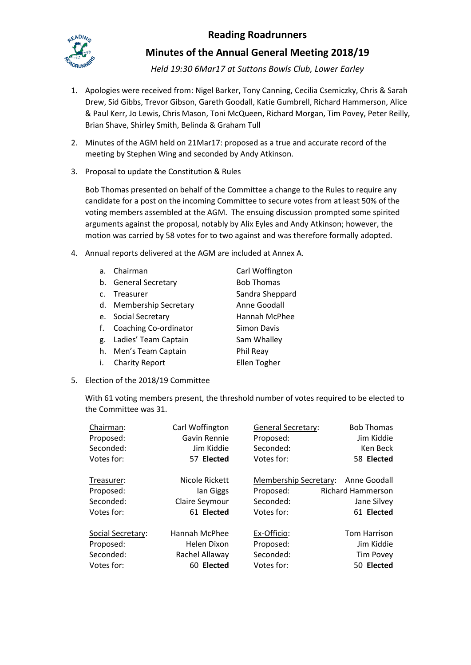## **Reading Roadrunners**



## **Minutes of the Annual General Meeting 2018/19**

*Held 19:30 6Mar17 at Suttons Bowls Club, Lower Earley*

- 1. Apologies were received from: Nigel Barker, Tony Canning, Cecilia Csemiczky, Chris & Sarah Drew, Sid Gibbs, Trevor Gibson, Gareth Goodall, Katie Gumbrell, Richard Hammerson, Alice & Paul Kerr, Jo Lewis, Chris Mason, Toni McQueen, Richard Morgan, Tim Povey, Peter Reilly, Brian Shave, Shirley Smith, Belinda & Graham Tull
- 2. Minutes of the AGM held on 21Mar17: proposed as a true and accurate record of the meeting by Stephen Wing and seconded by Andy Atkinson.
- 3. Proposal to update the Constitution & Rules

Bob Thomas presented on behalf of the Committee a change to the Rules to require any candidate for a post on the incoming Committee to secure votes from at least 50% of the voting members assembled at the AGM. The ensuing discussion prompted some spirited arguments against the proposal, notably by Alix Eyles and Andy Atkinson; however, the motion was carried by 58 votes for to two against and was therefore formally adopted.

4. Annual reports delivered at the AGM are included at Annex A.

| a <sub>z</sub> | Chairman                    | Carl Woffington   |
|----------------|-----------------------------|-------------------|
|                | b. General Secretary        | <b>Bob Thomas</b> |
| $\mathsf{C}$ . | Treasurer                   | Sandra Sheppard   |
| d.             | <b>Membership Secretary</b> | Anne Goodall      |
|                | e. Social Secretary         | Hannah McPhee     |
| f.             | Coaching Co-ordinator       | Simon Davis       |
| g.             | Ladies' Team Captain        | Sam Whalley       |
|                | h. Men's Team Captain       | Phil Reay         |
| İ.             | <b>Charity Report</b>       | Ellen Togher      |

5. Election of the 2018/19 Committee

With 61 voting members present, the threshold number of votes required to be elected to the Committee was 31.

| Chairman:         | Carl Woffington | <b>General Secretary:</b>    | <b>Bob Thomas</b>        |
|-------------------|-----------------|------------------------------|--------------------------|
| Proposed:         | Gavin Rennie    | Proposed:                    | Jim Kiddie               |
| Seconded:         | Jim Kiddie      | Seconded:                    | Ken Beck                 |
| Votes for:        | 57 Elected      | Votes for:                   | 58 Elected               |
| Treasurer:        | Nicole Rickett  | <b>Membership Secretary:</b> | Anne Goodall             |
| Proposed:         | lan Giggs       | Proposed:                    | <b>Richard Hammerson</b> |
| Seconded:         | Claire Seymour  | Seconded:                    | Jane Silvey              |
| Votes for:        | 61 Elected      | Votes for:                   | 61 Elected               |
| Social Secretary: | Hannah McPhee   | Ex-Officio:                  | <b>Tom Harrison</b>      |
| Proposed:         | Helen Dixon     | Proposed:                    | Jim Kiddie               |
| Seconded:         | Rachel Allaway  | Seconded:                    | <b>Tim Povey</b>         |
| Votes for:        | 60 Elected      | Votes for:                   | 50 Elected               |